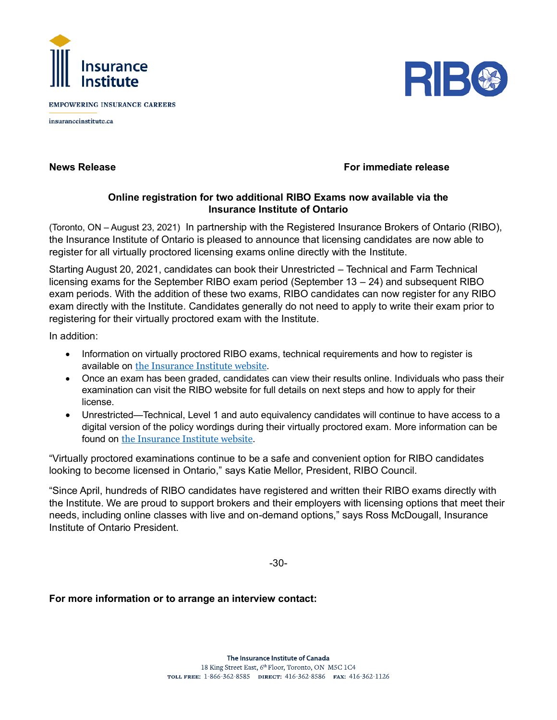

**EMPOWERING INSURANCE CAREERS** 

insuranceinstitute.ca



## **News Release For immediate release**

## **Online registration for two additional RIBO Exams now available via the Insurance Institute of Ontario**

(Toronto, ON – August 23, 2021) In partnership with the Registered Insurance Brokers of Ontario (RIBO), the Insurance Institute of Ontario is pleased to announce that licensing candidates are now able to register for all virtually proctored licensing exams online directly with the Institute.

Starting August 20, 2021, candidates can book their Unrestricted – Technical and Farm Technical licensing exams for the September RIBO exam period (September 13 – 24) and subsequent RIBO exam periods. With the addition of these two exams, RIBO candidates can now register for any RIBO exam directly with the Institute. Candidates generally do not need to apply to write their exam prior to registering for their virtually proctored exam with the Institute.

In addition:

- Information on virtually proctored RIBO exams, technical requirements and how to register is available on [the Insurance Institute](https://www.insuranceinstitute.ca/en/institutes-and-chapters/Ontario/Licensing-in-Ontario/Broker-Licence/Ontario-Broker-Exams) website.
- Once an exam has been graded, candidates can view their results online. Individuals who pass their examination can visit the RIBO website for full details on next steps and how to apply for their license.
- Unrestricted—Technical, Level 1 and auto equivalency candidates will continue to have access to a digital version of the policy wordings during their virtually proctored exam. More information can be found on [the Insurance Institute](https://www.insuranceinstitute.ca/en/institutes-and-chapters/Ontario/Licensing-in-Ontario/Broker-Licence/Ontario-Broker-Exams) website.

"Virtually proctored examinations continue to be a safe and convenient option for RIBO candidates looking to become licensed in Ontario," says Katie Mellor, President, RIBO Council.

"Since April, hundreds of RIBO candidates have registered and written their RIBO exams directly with the Institute. We are proud to support brokers and their employers with licensing options that meet their needs, including online classes with live and on-demand options," says Ross McDougall, Insurance Institute of Ontario President.

-30-

## **For more information or to arrange an interview contact:**